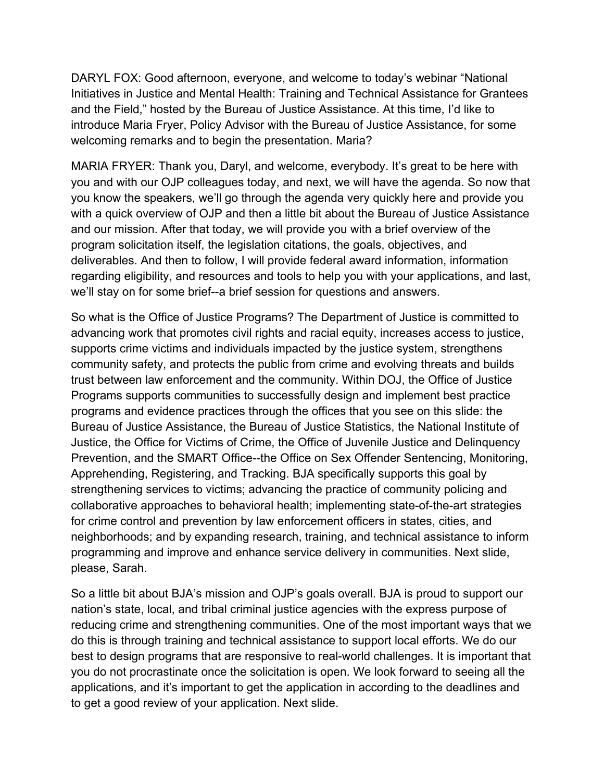DARYL FOX: Good afternoon, everyone, and welcome to today's webinar "National Initiatives in Justice and Mental Health: Training and Technical Assistance for Grantees and the Field," hosted by the Bureau of Justice Assistance. At this time, I'd like to introduce Maria Fryer, Policy Advisor with the Bureau of Justice Assistance, for some welcoming remarks and to begin the presentation. Maria?

MARIA FRYER: Thank you, Daryl, and welcome, everybody. It's great to be here with you and with our OJP colleagues today, and next, we will have the agenda. So now that you know the speakers, we'll go through the agenda very quickly here and provide you with a quick overview of OJP and then a little bit about the Bureau of Justice Assistance and our mission. After that today, we will provide you with a brief overview of the program solicitation itself, the legislation citations, the goals, objectives, and deliverables. And then to follow, I will provide federal award information, information regarding eligibility, and resources and tools to help you with your applications, and last, we'll stay on for some brief--a brief session for questions and answers.

So what is the Office of Justice Programs? The Department of Justice is committed to advancing work that promotes civil rights and racial equity, increases access to justice, supports crime victims and individuals impacted by the justice system, strengthens community safety, and protects the public from crime and evolving threats and builds trust between law enforcement and the community. Within DOJ, the Office of Justice Programs supports communities to successfully design and implement best practice programs and evidence practices through the offices that you see on this slide: the Bureau of Justice Assistance, the Bureau of Justice Statistics, the National Institute of Justice, the Office for Victims of Crime, the Office of Juvenile Justice and Delinquency Prevention, and the SMART Office--the Office on Sex Offender Sentencing, Monitoring, Apprehending, Registering, and Tracking. BJA specifically supports this goal by strengthening services to victims; advancing the practice of community policing and collaborative approaches to behavioral health; implementing state-of-the-art strategies for crime control and prevention by law enforcement officers in states, cities, and neighborhoods; and by expanding research, training, and technical assistance to inform programming and improve and enhance service delivery in communities. Next slide, please, Sarah.

So a little bit about BJA's mission and OJP's goals overall. BJA is proud to support our nation's state, local, and tribal criminal justice agencies with the express purpose of reducing crime and strengthening communities. One of the most important ways that we do this is through training and technical assistance to support local efforts. We do our best to design programs that are responsive to real-world challenges. It is important that you do not procrastinate once the solicitation is open. We look forward to seeing all the applications, and it's important to get the application in according to the deadlines and to get a good review of your application. Next slide.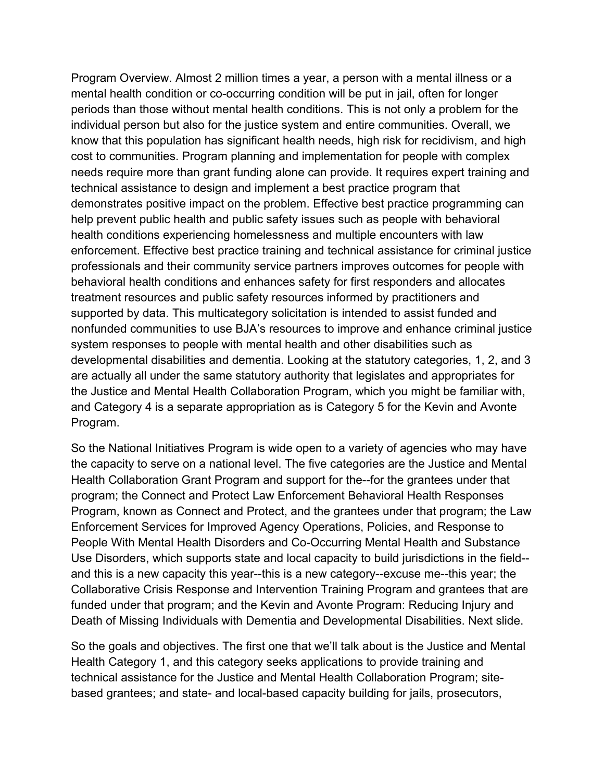Program Overview. Almost 2 million times a year, a person with a mental illness or a mental health condition or co-occurring condition will be put in jail, often for longer periods than those without mental health conditions. This is not only a problem for the individual person but also for the justice system and entire communities. Overall, we know that this population has significant health needs, high risk for recidivism, and high cost to communities. Program planning and implementation for people with complex needs require more than grant funding alone can provide. It requires expert training and technical assistance to design and implement a best practice program that demonstrates positive impact on the problem. Effective best practice programming can help prevent public health and public safety issues such as people with behavioral health conditions experiencing homelessness and multiple encounters with law enforcement. Effective best practice training and technical assistance for criminal justice professionals and their community service partners improves outcomes for people with behavioral health conditions and enhances safety for first responders and allocates treatment resources and public safety resources informed by practitioners and supported by data. This multicategory solicitation is intended to assist funded and nonfunded communities to use BJA's resources to improve and enhance criminal justice system responses to people with mental health and other disabilities such as developmental disabilities and dementia. Looking at the statutory categories, 1, 2, and 3 are actually all under the same statutory authority that legislates and appropriates for the Justice and Mental Health Collaboration Program, which you might be familiar with, and Category 4 is a separate appropriation as is Category 5 for the Kevin and Avonte Program.

So the National Initiatives Program is wide open to a variety of agencies who may have the capacity to serve on a national level. The five categories are the Justice and Mental Health Collaboration Grant Program and support for the--for the grantees under that program; the Connect and Protect Law Enforcement Behavioral Health Responses Program, known as Connect and Protect, and the grantees under that program; the Law Enforcement Services for Improved Agency Operations, Policies, and Response to People With Mental Health Disorders and Co-Occurring Mental Health and Substance Use Disorders, which supports state and local capacity to build jurisdictions in the field- and this is a new capacity this year--this is a new category--excuse me--this year; the Collaborative Crisis Response and Intervention Training Program and grantees that are funded under that program; and the Kevin and Avonte Program: Reducing Injury and Death of Missing Individuals with Dementia and Developmental Disabilities. Next slide.

So the goals and objectives. The first one that we'll talk about is the Justice and Mental Health Category 1, and this category seeks applications to provide training and technical assistance for the Justice and Mental Health Collaboration Program; sitebased grantees; and state- and local-based capacity building for jails, prosecutors,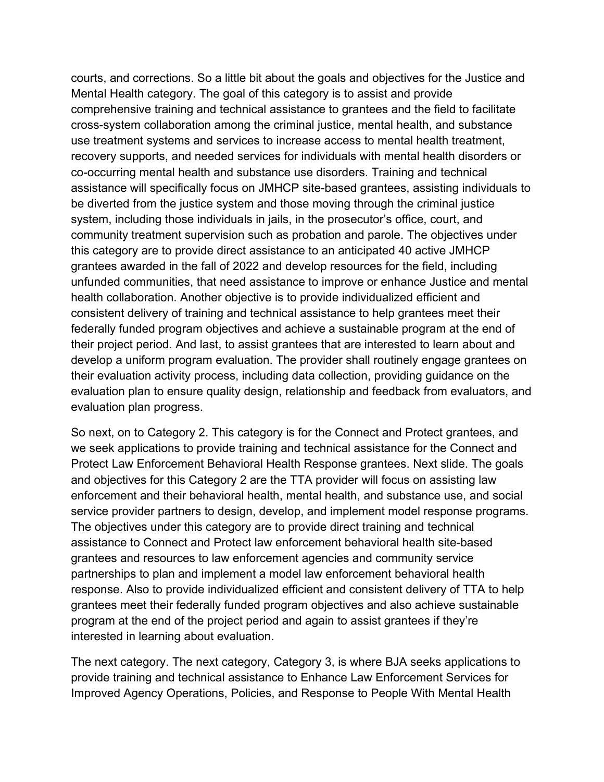courts, and corrections. So a little bit about the goals and objectives for the Justice and Mental Health category. The goal of this category is to assist and provide comprehensive training and technical assistance to grantees and the field to facilitate cross-system collaboration among the criminal justice, mental health, and substance use treatment systems and services to increase access to mental health treatment, recovery supports, and needed services for individuals with mental health disorders or co-occurring mental health and substance use disorders. Training and technical assistance will specifically focus on JMHCP site-based grantees, assisting individuals to be diverted from the justice system and those moving through the criminal justice system, including those individuals in jails, in the prosecutor's office, court, and community treatment supervision such as probation and parole. The objectives under this category are to provide direct assistance to an anticipated 40 active JMHCP grantees awarded in the fall of 2022 and develop resources for the field, including unfunded communities, that need assistance to improve or enhance Justice and mental health collaboration. Another objective is to provide individualized efficient and consistent delivery of training and technical assistance to help grantees meet their federally funded program objectives and achieve a sustainable program at the end of their project period. And last, to assist grantees that are interested to learn about and develop a uniform program evaluation. The provider shall routinely engage grantees on their evaluation activity process, including data collection, providing guidance on the evaluation plan to ensure quality design, relationship and feedback from evaluators, and evaluation plan progress.

So next, on to Category 2. This category is for the Connect and Protect grantees, and we seek applications to provide training and technical assistance for the Connect and Protect Law Enforcement Behavioral Health Response grantees. Next slide. The goals and objectives for this Category 2 are the TTA provider will focus on assisting law enforcement and their behavioral health, mental health, and substance use, and social service provider partners to design, develop, and implement model response programs. The objectives under this category are to provide direct training and technical assistance to Connect and Protect law enforcement behavioral health site-based grantees and resources to law enforcement agencies and community service partnerships to plan and implement a model law enforcement behavioral health response. Also to provide individualized efficient and consistent delivery of TTA to help grantees meet their federally funded program objectives and also achieve sustainable program at the end of the project period and again to assist grantees if they're interested in learning about evaluation.

The next category. The next category, Category 3, is where BJA seeks applications to provide training and technical assistance to Enhance Law Enforcement Services for Improved Agency Operations, Policies, and Response to People With Mental Health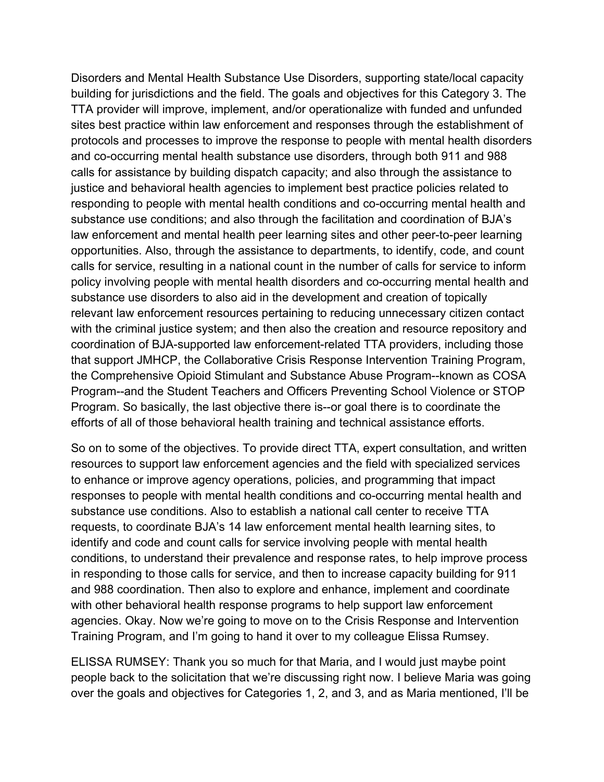Disorders and Mental Health Substance Use Disorders, supporting state/local capacity building for jurisdictions and the field. The goals and objectives for this Category 3. The TTA provider will improve, implement, and/or operationalize with funded and unfunded sites best practice within law enforcement and responses through the establishment of protocols and processes to improve the response to people with mental health disorders and co-occurring mental health substance use disorders, through both 911 and 988 calls for assistance by building dispatch capacity; and also through the assistance to justice and behavioral health agencies to implement best practice policies related to responding to people with mental health conditions and co-occurring mental health and substance use conditions; and also through the facilitation and coordination of BJA's law enforcement and mental health peer learning sites and other peer-to-peer learning opportunities. Also, through the assistance to departments, to identify, code, and count calls for service, resulting in a national count in the number of calls for service to inform policy involving people with mental health disorders and co-occurring mental health and substance use disorders to also aid in the development and creation of topically relevant law enforcement resources pertaining to reducing unnecessary citizen contact with the criminal justice system; and then also the creation and resource repository and coordination of BJA-supported law enforcement-related TTA providers, including those that support JMHCP, the Collaborative Crisis Response Intervention Training Program, the Comprehensive Opioid Stimulant and Substance Abuse Program--known as COSA Program--and the Student Teachers and Officers Preventing School Violence or STOP Program. So basically, the last objective there is--or goal there is to coordinate the efforts of all of those behavioral health training and technical assistance efforts.

So on to some of the objectives. To provide direct TTA, expert consultation, and written resources to support law enforcement agencies and the field with specialized services to enhance or improve agency operations, policies, and programming that impact responses to people with mental health conditions and co-occurring mental health and substance use conditions. Also to establish a national call center to receive TTA requests, to coordinate BJA's 14 law enforcement mental health learning sites, to identify and code and count calls for service involving people with mental health conditions, to understand their prevalence and response rates, to help improve process in responding to those calls for service, and then to increase capacity building for 911 and 988 coordination. Then also to explore and enhance, implement and coordinate with other behavioral health response programs to help support law enforcement agencies. Okay. Now we're going to move on to the Crisis Response and Intervention Training Program, and I'm going to hand it over to my colleague Elissa Rumsey.

ELISSA RUMSEY: Thank you so much for that Maria, and I would just maybe point people back to the solicitation that we're discussing right now. I believe Maria was going over the goals and objectives for Categories 1, 2, and 3, and as Maria mentioned, I'll be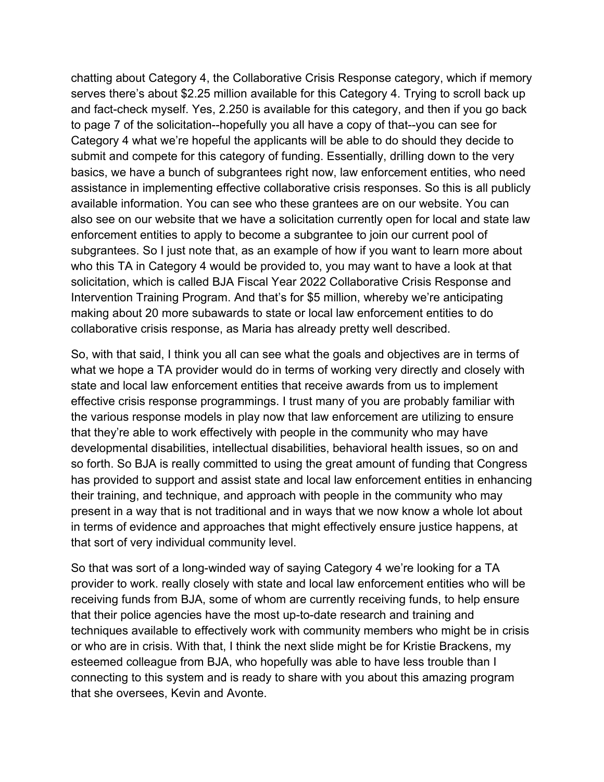chatting about Category 4, the Collaborative Crisis Response category, which if memory serves there's about \$2.25 million available for this Category 4. Trying to scroll back up and fact-check myself. Yes, 2.250 is available for this category, and then if you go back to page 7 of the solicitation--hopefully you all have a copy of that--you can see for Category 4 what we're hopeful the applicants will be able to do should they decide to submit and compete for this category of funding. Essentially, drilling down to the very basics, we have a bunch of subgrantees right now, law enforcement entities, who need assistance in implementing effective collaborative crisis responses. So this is all publicly available information. You can see who these grantees are on our website. You can also see on our website that we have a solicitation currently open for local and state law enforcement entities to apply to become a subgrantee to join our current pool of subgrantees. So I just note that, as an example of how if you want to learn more about who this TA in Category 4 would be provided to, you may want to have a look at that solicitation, which is called BJA Fiscal Year 2022 Collaborative Crisis Response and Intervention Training Program. And that's for \$5 million, whereby we're anticipating making about 20 more subawards to state or local law enforcement entities to do collaborative crisis response, as Maria has already pretty well described.

So, with that said, I think you all can see what the goals and objectives are in terms of what we hope a TA provider would do in terms of working very directly and closely with state and local law enforcement entities that receive awards from us to implement effective crisis response programmings. I trust many of you are probably familiar with the various response models in play now that law enforcement are utilizing to ensure that they're able to work effectively with people in the community who may have developmental disabilities, intellectual disabilities, behavioral health issues, so on and so forth. So BJA is really committed to using the great amount of funding that Congress has provided to support and assist state and local law enforcement entities in enhancing their training, and technique, and approach with people in the community who may present in a way that is not traditional and in ways that we now know a whole lot about in terms of evidence and approaches that might effectively ensure justice happens, at that sort of very individual community level.

So that was sort of a long-winded way of saying Category 4 we're looking for a TA provider to work. really closely with state and local law enforcement entities who will be receiving funds from BJA, some of whom are currently receiving funds, to help ensure that their police agencies have the most up-to-date research and training and techniques available to effectively work with community members who might be in crisis or who are in crisis. With that, I think the next slide might be for Kristie Brackens, my esteemed colleague from BJA, who hopefully was able to have less trouble than I connecting to this system and is ready to share with you about this amazing program that she oversees, Kevin and Avonte.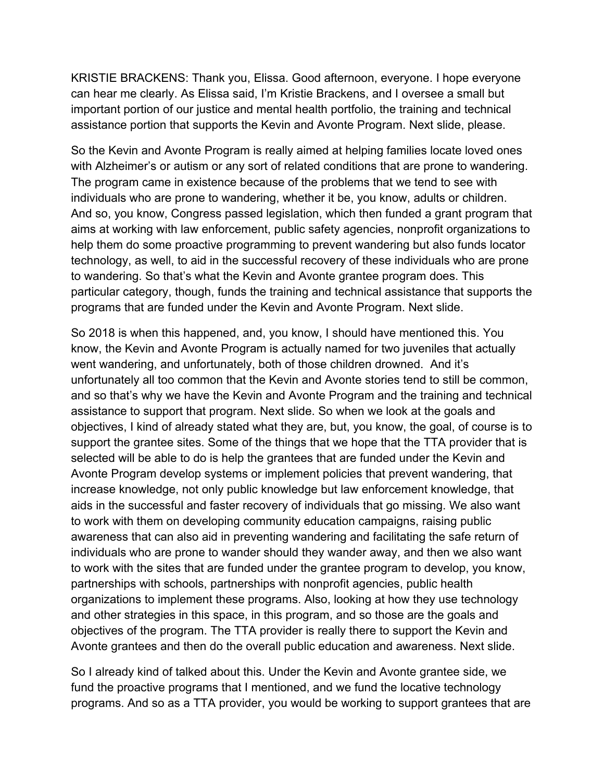KRISTIE BRACKENS: Thank you, Elissa. Good afternoon, everyone. I hope everyone can hear me clearly. As Elissa said, I'm Kristie Brackens, and I oversee a small but important portion of our justice and mental health portfolio, the training and technical assistance portion that supports the Kevin and Avonte Program. Next slide, please.

So the Kevin and Avonte Program is really aimed at helping families locate loved ones with Alzheimer's or autism or any sort of related conditions that are prone to wandering. The program came in existence because of the problems that we tend to see with individuals who are prone to wandering, whether it be, you know, adults or children. And so, you know, Congress passed legislation, which then funded a grant program that aims at working with law enforcement, public safety agencies, nonprofit organizations to help them do some proactive programming to prevent wandering but also funds locator technology, as well, to aid in the successful recovery of these individuals who are prone to wandering. So that's what the Kevin and Avonte grantee program does. This particular category, though, funds the training and technical assistance that supports the programs that are funded under the Kevin and Avonte Program. Next slide.

So 2018 is when this happened, and, you know, I should have mentioned this. You know, the Kevin and Avonte Program is actually named for two juveniles that actually went wandering, and unfortunately, both of those children drowned. And it's unfortunately all too common that the Kevin and Avonte stories tend to still be common, and so that's why we have the Kevin and Avonte Program and the training and technical assistance to support that program. Next slide. So when we look at the goals and objectives, I kind of already stated what they are, but, you know, the goal, of course is to support the grantee sites. Some of the things that we hope that the TTA provider that is selected will be able to do is help the grantees that are funded under the Kevin and Avonte Program develop systems or implement policies that prevent wandering, that increase knowledge, not only public knowledge but law enforcement knowledge, that aids in the successful and faster recovery of individuals that go missing. We also want to work with them on developing community education campaigns, raising public awareness that can also aid in preventing wandering and facilitating the safe return of individuals who are prone to wander should they wander away, and then we also want to work with the sites that are funded under the grantee program to develop, you know, partnerships with schools, partnerships with nonprofit agencies, public health organizations to implement these programs. Also, looking at how they use technology and other strategies in this space, in this program, and so those are the goals and objectives of the program. The TTA provider is really there to support the Kevin and Avonte grantees and then do the overall public education and awareness. Next slide.

So I already kind of talked about this. Under the Kevin and Avonte grantee side, we fund the proactive programs that I mentioned, and we fund the locative technology programs. And so as a TTA provider, you would be working to support grantees that are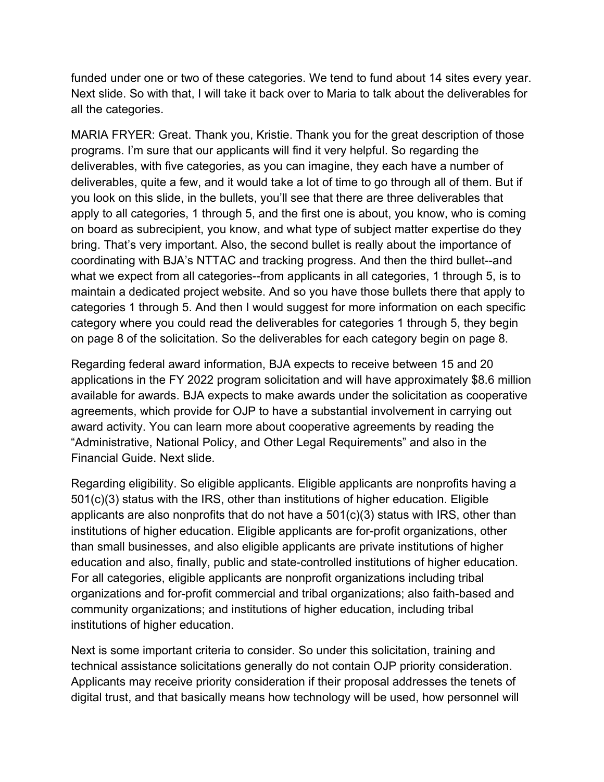funded under one or two of these categories. We tend to fund about 14 sites every year. Next slide. So with that, I will take it back over to Maria to talk about the deliverables for all the categories.

MARIA FRYER: Great. Thank you, Kristie. Thank you for the great description of those programs. I'm sure that our applicants will find it very helpful. So regarding the deliverables, with five categories, as you can imagine, they each have a number of deliverables, quite a few, and it would take a lot of time to go through all of them. But if you look on this slide, in the bullets, you'll see that there are three deliverables that apply to all categories, 1 through 5, and the first one is about, you know, who is coming on board as subrecipient, you know, and what type of subject matter expertise do they bring. That's very important. Also, the second bullet is really about the importance of coordinating with BJA's NTTAC and tracking progress. And then the third bullet--and what we expect from all categories--from applicants in all categories, 1 through 5, is to maintain a dedicated project website. And so you have those bullets there that apply to categories 1 through 5. And then I would suggest for more information on each specific category where you could read the deliverables for categories 1 through 5, they begin on page 8 of the solicitation. So the deliverables for each category begin on page 8.

Regarding federal award information, BJA expects to receive between 15 and 20 applications in the FY 2022 program solicitation and will have approximately \$8.6 million available for awards. BJA expects to make awards under the solicitation as cooperative agreements, which provide for OJP to have a substantial involvement in carrying out award activity. You can learn more about cooperative agreements by reading the "Administrative, National Policy, and Other Legal Requirements" and also in the Financial Guide. Next slide.

Regarding eligibility. So eligible applicants. Eligible applicants are nonprofits having a 501(c)(3) status with the IRS, other than institutions of higher education. Eligible applicants are also nonprofits that do not have a 501(c)(3) status with IRS, other than institutions of higher education. Eligible applicants are for-profit organizations, other than small businesses, and also eligible applicants are private institutions of higher education and also, finally, public and state-controlled institutions of higher education. For all categories, eligible applicants are nonprofit organizations including tribal organizations and for-profit commercial and tribal organizations; also faith-based and community organizations; and institutions of higher education, including tribal institutions of higher education.

Next is some important criteria to consider. So under this solicitation, training and technical assistance solicitations generally do not contain OJP priority consideration. Applicants may receive priority consideration if their proposal addresses the tenets of digital trust, and that basically means how technology will be used, how personnel will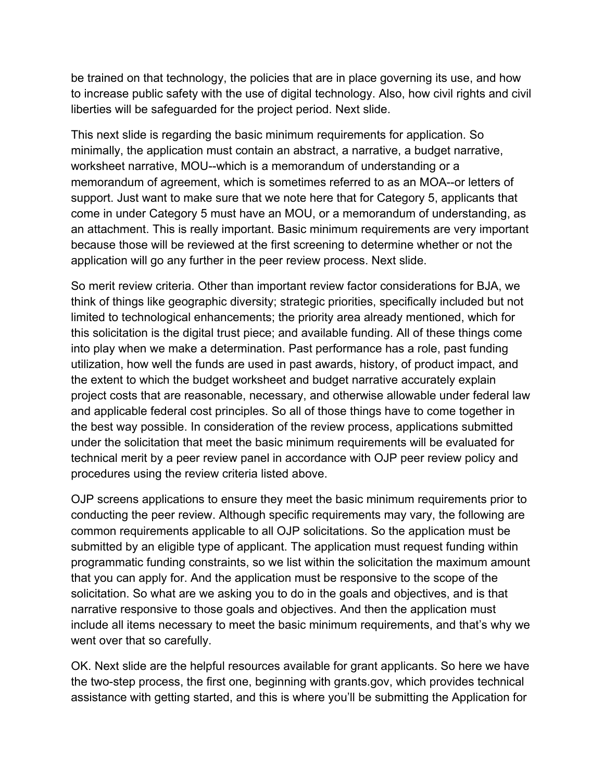be trained on that technology, the policies that are in place governing its use, and how to increase public safety with the use of digital technology. Also, how civil rights and civil liberties will be safeguarded for the project period. Next slide.

This next slide is regarding the basic minimum requirements for application. So minimally, the application must contain an abstract, a narrative, a budget narrative, worksheet narrative, MOU--which is a memorandum of understanding or a memorandum of agreement, which is sometimes referred to as an MOA--or letters of support. Just want to make sure that we note here that for Category 5, applicants that come in under Category 5 must have an MOU, or a memorandum of understanding, as an attachment. This is really important. Basic minimum requirements are very important because those will be reviewed at the first screening to determine whether or not the application will go any further in the peer review process. Next slide.

So merit review criteria. Other than important review factor considerations for BJA, we think of things like geographic diversity; strategic priorities, specifically included but not limited to technological enhancements; the priority area already mentioned, which for this solicitation is the digital trust piece; and available funding. All of these things come into play when we make a determination. Past performance has a role, past funding utilization, how well the funds are used in past awards, history, of product impact, and the extent to which the budget worksheet and budget narrative accurately explain project costs that are reasonable, necessary, and otherwise allowable under federal law and applicable federal cost principles. So all of those things have to come together in the best way possible. In consideration of the review process, applications submitted under the solicitation that meet the basic minimum requirements will be evaluated for technical merit by a peer review panel in accordance with OJP peer review policy and procedures using the review criteria listed above.

OJP screens applications to ensure they meet the basic minimum requirements prior to conducting the peer review. Although specific requirements may vary, the following are common requirements applicable to all OJP solicitations. So the application must be submitted by an eligible type of applicant. The application must request funding within programmatic funding constraints, so we list within the solicitation the maximum amount that you can apply for. And the application must be responsive to the scope of the solicitation. So what are we asking you to do in the goals and objectives, and is that narrative responsive to those goals and objectives. And then the application must include all items necessary to meet the basic minimum requirements, and that's why we went over that so carefully.

OK. Next slide are the helpful resources available for grant applicants. So here we have the two-step process, the first one, beginning with grants.gov, which provides technical assistance with getting started, and this is where you'll be submitting the Application for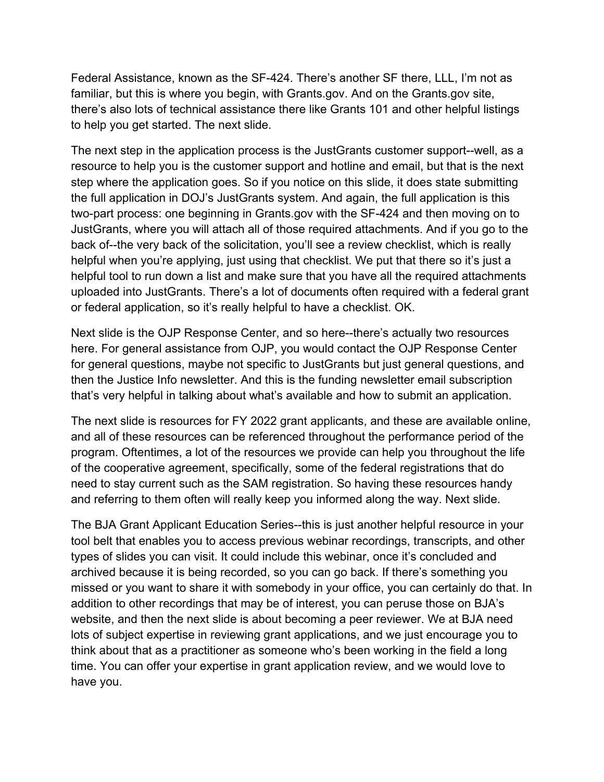Federal Assistance, known as the SF-424. There's another SF there, LLL, I'm not as familiar, but this is where you begin, with Grants.gov. And on the Grants.gov site, there's also lots of technical assistance there like Grants 101 and other helpful listings to help you get started. The next slide.

The next step in the application process is the JustGrants customer support--well, as a resource to help you is the customer support and hotline and email, but that is the next step where the application goes. So if you notice on this slide, it does state submitting the full application in DOJ's JustGrants system. And again, the full application is this two-part process: one beginning in Grants.gov with the SF-424 and then moving on to JustGrants, where you will attach all of those required attachments. And if you go to the back of--the very back of the solicitation, you'll see a review checklist, which is really helpful when you're applying, just using that checklist. We put that there so it's just a helpful tool to run down a list and make sure that you have all the required attachments uploaded into JustGrants. There's a lot of documents often required with a federal grant or federal application, so it's really helpful to have a checklist. OK.

Next slide is the OJP Response Center, and so here--there's actually two resources here. For general assistance from OJP, you would contact the OJP Response Center for general questions, maybe not specific to JustGrants but just general questions, and then the Justice Info newsletter. And this is the funding newsletter email subscription that's very helpful in talking about what's available and how to submit an application.

The next slide is resources for FY 2022 grant applicants, and these are available online, and all of these resources can be referenced throughout the performance period of the program. Oftentimes, a lot of the resources we provide can help you throughout the life of the cooperative agreement, specifically, some of the federal registrations that do need to stay current such as the SAM registration. So having these resources handy and referring to them often will really keep you informed along the way. Next slide.

The BJA Grant Applicant Education Series--this is just another helpful resource in your tool belt that enables you to access previous webinar recordings, transcripts, and other types of slides you can visit. It could include this webinar, once it's concluded and archived because it is being recorded, so you can go back. If there's something you missed or you want to share it with somebody in your office, you can certainly do that. In addition to other recordings that may be of interest, you can peruse those on BJA's website, and then the next slide is about becoming a peer reviewer. We at BJA need lots of subject expertise in reviewing grant applications, and we just encourage you to think about that as a practitioner as someone who's been working in the field a long time. You can offer your expertise in grant application review, and we would love to have you.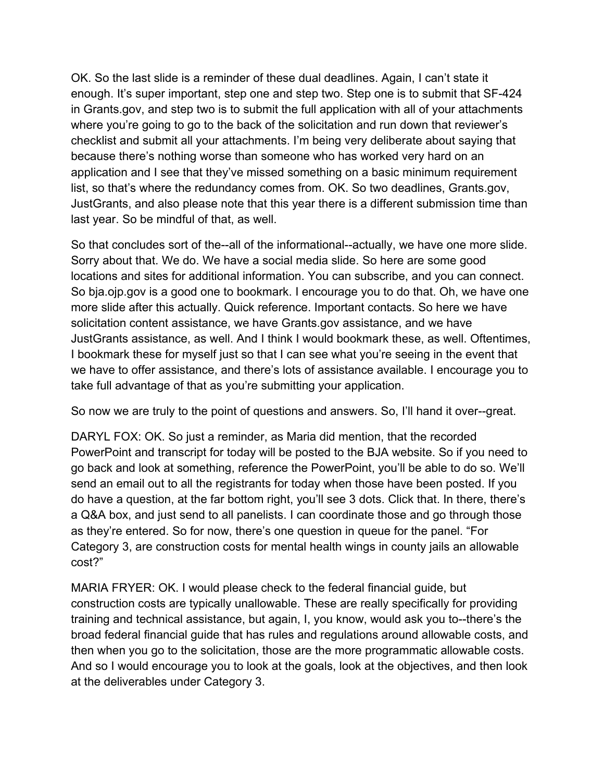OK. So the last slide is a reminder of these dual deadlines. Again, I can't state it enough. It's super important, step one and step two. Step one is to submit that SF-424 in Grants.gov, and step two is to submit the full application with all of your attachments where you're going to go to the back of the solicitation and run down that reviewer's checklist and submit all your attachments. I'm being very deliberate about saying that because there's nothing worse than someone who has worked very hard on an application and I see that they've missed something on a basic minimum requirement list, so that's where the redundancy comes from. OK. So two deadlines, Grants.gov, JustGrants, and also please note that this year there is a different submission time than last year. So be mindful of that, as well.

So that concludes sort of the--all of the informational--actually, we have one more slide. Sorry about that. We do. We have a social media slide. So here are some good locations and sites for additional information. You can subscribe, and you can connect. So bja.ojp.gov is a good one to bookmark. I encourage you to do that. Oh, we have one more slide after this actually. Quick reference. Important contacts. So here we have solicitation content assistance, we have Grants.gov assistance, and we have JustGrants assistance, as well. And I think I would bookmark these, as well. Oftentimes, I bookmark these for myself just so that I can see what you're seeing in the event that we have to offer assistance, and there's lots of assistance available. I encourage you to take full advantage of that as you're submitting your application.

So now we are truly to the point of questions and answers. So, I'll hand it over--great.

DARYL FOX: OK. So just a reminder, as Maria did mention, that the recorded PowerPoint and transcript for today will be posted to the BJA website. So if you need to go back and look at something, reference the PowerPoint, you'll be able to do so. We'll send an email out to all the registrants for today when those have been posted. If you do have a question, at the far bottom right, you'll see 3 dots. Click that. In there, there's a Q&A box, and just send to all panelists. I can coordinate those and go through those as they're entered. So for now, there's one question in queue for the panel. "For Category 3, are construction costs for mental health wings in county jails an allowable cost?"

MARIA FRYER: OK. I would please check to the federal financial guide, but construction costs are typically unallowable. These are really specifically for providing training and technical assistance, but again, I, you know, would ask you to--there's the broad federal financial guide that has rules and regulations around allowable costs, and then when you go to the solicitation, those are the more programmatic allowable costs. And so I would encourage you to look at the goals, look at the objectives, and then look at the deliverables under Category 3.